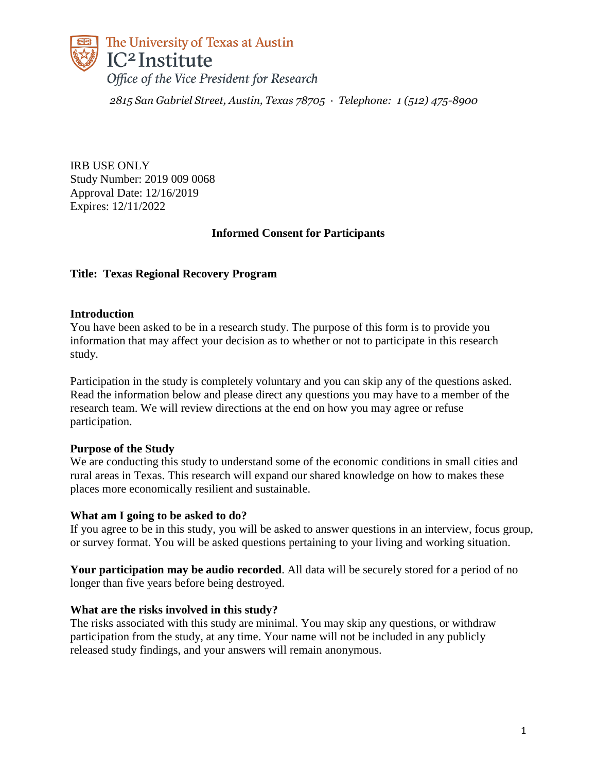

*2815 San Gabriel Street, Austin, Texas 78705 · Telephone: 1 (512) 475-8900*

IRB USE ONLY Study Number: 2019 009 0068 Approval Date: 12/16/2019 Expires: 12/11/2022

# **Informed Consent for Participants**

### **Title: Texas Regional Recovery Program**

### **Introduction**

You have been asked to be in a research study. The purpose of this form is to provide you information that may affect your decision as to whether or not to participate in this research study.

Participation in the study is completely voluntary and you can skip any of the questions asked. Read the information below and please direct any questions you may have to a member of the research team. We will review directions at the end on how you may agree or refuse participation.

### **Purpose of the Study**

We are conducting this study to understand some of the economic conditions in small cities and rural areas in Texas. This research will expand our shared knowledge on how to makes these places more economically resilient and sustainable.

#### **What am I going to be asked to do?**

If you agree to be in this study, you will be asked to answer questions in an interview, focus group, or survey format. You will be asked questions pertaining to your living and working situation.

**Your participation may be audio recorded**. All data will be securely stored for a period of no longer than five years before being destroyed.

#### **What are the risks involved in this study?**

The risks associated with this study are minimal. You may skip any questions, or withdraw participation from the study, at any time. Your name will not be included in any publicly released study findings, and your answers will remain anonymous.